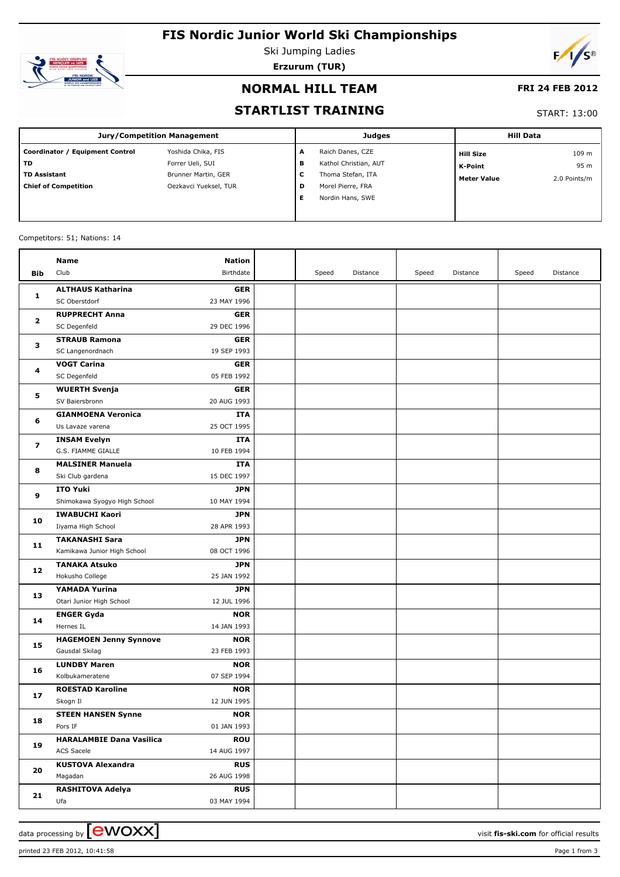# **FIS Nordic Junior World Ski Championships**



Ski Jumping Ladies **Erzurum (TUR)**



### **NORMAL HILL TEAM**

### **FRI 24 FEB 2012**

### **STARTLIST TRAINING**

#### START: 13:00

| <b>Jury/Competition Management</b> |                       |   | <b>Judges</b>         | <b>Hill Data</b>   |              |  |
|------------------------------------|-----------------------|---|-----------------------|--------------------|--------------|--|
| Coordinator / Equipment Control    | Yoshida Chika, FIS    | A | Raich Danes, CZE      | <b>Hill Size</b>   | 109 m        |  |
| TD                                 | Forrer Ueli, SUI      | в | Kathol Christian, AUT | K-Point            | 95 m         |  |
| <b>TD Assistant</b>                | Brunner Martin, GER   | С | Thoma Stefan, ITA     | <b>Meter Value</b> | 2.0 Points/m |  |
| <b>Chief of Competition</b>        | Oezkavci Yueksel, TUR | D | Morel Pierre, FRA     |                    |              |  |
|                                    |                       | Е | Nordin Hans, SWE      |                    |              |  |
|                                    |                       |   |                       |                    |              |  |

#### Competitors: 51; Nations: 14

|                         | Name                                          | Nation                    |       |          |       |          |       |          |
|-------------------------|-----------------------------------------------|---------------------------|-------|----------|-------|----------|-------|----------|
| Bib                     | Club                                          | Birthdate                 | Speed | Distance | Speed | Distance | Speed | Distance |
|                         | <b>ALTHAUS Katharina</b>                      | <b>GER</b>                |       |          |       |          |       |          |
| 1                       | SC Oberstdorf                                 | 23 MAY 1996               |       |          |       |          |       |          |
| $\mathbf{z}$<br>з       | <b>RUPPRECHT Anna</b>                         | <b>GER</b>                |       |          |       |          |       |          |
|                         | SC Degenfeld                                  | 29 DEC 1996               |       |          |       |          |       |          |
|                         | <b>STRAUB Ramona</b>                          | <b>GER</b>                |       |          |       |          |       |          |
|                         | SC Langenordnach                              | 19 SEP 1993               |       |          |       |          |       |          |
| 4                       | <b>VOGT Carina</b>                            | <b>GER</b>                |       |          |       |          |       |          |
|                         | SC Degenfeld                                  | 05 FEB 1992               |       |          |       |          |       |          |
|                         | <b>WUERTH Svenja</b>                          | <b>GER</b>                |       |          |       |          |       |          |
| 5                       | SV Baiersbronn                                | 20 AUG 1993               |       |          |       |          |       |          |
|                         | <b>GIANMOENA Veronica</b>                     | <b>ITA</b>                |       |          |       |          |       |          |
| 6                       | Us Lavaze varena                              | 25 OCT 1995               |       |          |       |          |       |          |
| $\overline{\mathbf{z}}$ | <b>INSAM Evelyn</b>                           | ITA                       |       |          |       |          |       |          |
|                         | G.S. FIAMME GIALLE                            | 10 FEB 1994               |       |          |       |          |       |          |
| 8                       | <b>MALSINER Manuela</b>                       | ITA                       |       |          |       |          |       |          |
|                         | Ski Club gardena                              | 15 DEC 1997               |       |          |       |          |       |          |
| 9                       | <b>ITO Yuki</b>                               | JPN                       |       |          |       |          |       |          |
|                         | Shimokawa Syogyo High School                  | 10 MAY 1994               |       |          |       |          |       |          |
| 10                      | <b>IWABUCHI Kaori</b>                         | JPN                       |       |          |       |          |       |          |
|                         | Iiyama High School                            | 28 APR 1993               |       |          |       |          |       |          |
| 11                      | <b>TAKANASHI Sara</b>                         | JPN                       |       |          |       |          |       |          |
|                         | Kamikawa Junior High School                   | 08 OCT 1996               |       |          |       |          |       |          |
| 12                      | <b>TANAKA Atsuko</b>                          | JPN                       |       |          |       |          |       |          |
|                         | Hokusho College                               | 25 JAN 1992               |       |          |       |          |       |          |
| 13                      | YAMADA Yurina                                 | JPN                       |       |          |       |          |       |          |
|                         | Otari Junior High School<br><b>ENGER Gyda</b> | 12 JUL 1996<br><b>NOR</b> |       |          |       |          |       |          |
| 14                      | Hernes IL                                     | 14 JAN 1993               |       |          |       |          |       |          |
|                         | <b>HAGEMOEN Jenny Synnove</b>                 | <b>NOR</b>                |       |          |       |          |       |          |
| 15                      | Gausdal Skilag                                | 23 FEB 1993               |       |          |       |          |       |          |
|                         | <b>LUNDBY Maren</b>                           | <b>NOR</b>                |       |          |       |          |       |          |
| 16                      | Kolbukameratene                               | 07 SEP 1994               |       |          |       |          |       |          |
|                         | <b>ROESTAD Karoline</b>                       | <b>NOR</b>                |       |          |       |          |       |          |
| 17                      | Skogn Il                                      | 12 JUN 1995               |       |          |       |          |       |          |
|                         | <b>STEEN HANSEN Synne</b>                     | <b>NOR</b>                |       |          |       |          |       |          |
| 18                      | Pors IF                                       | 01 JAN 1993               |       |          |       |          |       |          |
|                         | <b>HARALAMBIE Dana Vasilica</b>               | <b>ROU</b>                |       |          |       |          |       |          |
| 19                      | ACS Sacele                                    | 14 AUG 1997               |       |          |       |          |       |          |
| 20                      | <b>KUSTOVA Alexandra</b>                      | <b>RUS</b>                |       |          |       |          |       |          |
|                         | Magadan                                       | 26 AUG 1998               |       |          |       |          |       |          |
|                         | <b>RASHITOVA Adelya</b>                       | <b>RUS</b>                |       |          |       |          |       |          |
| 21                      | Ufa                                           | 03 MAY 1994               |       |          |       |          |       |          |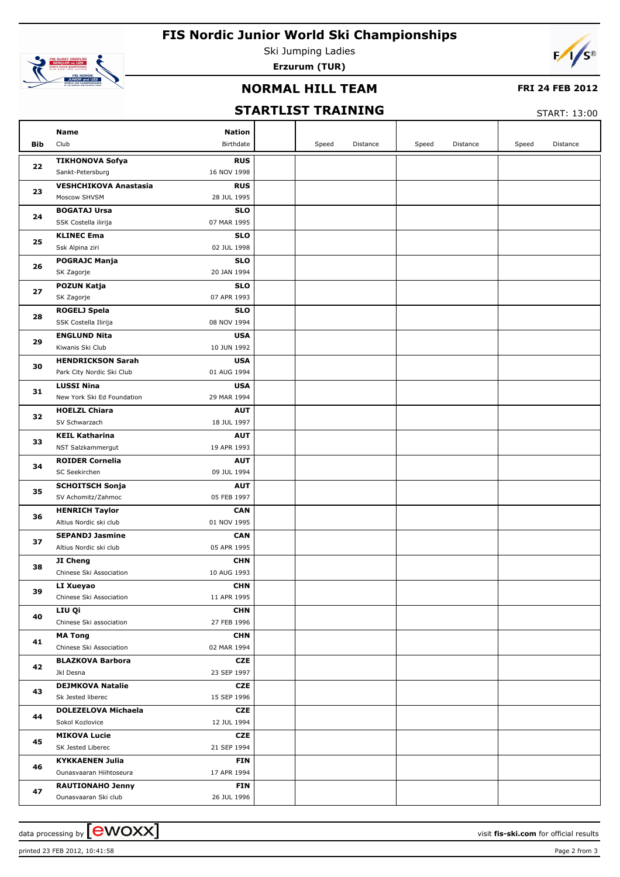# **FIS Nordic Junior World Ski Championships**



Ski Jumping Ladies **Erzurum (TUR)**



### **NORMAL HILL TEAM**

### **FRI 24 FEB 2012**

## **STARTLIST TRAINING**

START: 13:00

|          | Name                                                                 | <b>Nation</b>             |       |          |       |          |       |          |
|----------|----------------------------------------------------------------------|---------------------------|-------|----------|-------|----------|-------|----------|
| Bib      | Club                                                                 | Birthdate                 | Speed | Distance | Speed | Distance | Speed | Distance |
|          | <b>TIKHONOVA Sofya</b>                                               | <b>RUS</b>                |       |          |       |          |       |          |
| 22       | 16 NOV 1998<br>Sankt-Petersburg                                      |                           |       |          |       |          |       |          |
| 23       | <b>VESHCHIKOVA Anastasia</b>                                         | <b>RUS</b>                |       |          |       |          |       |          |
|          | Moscow SHVSM<br>28 JUL 1995                                          |                           |       |          |       |          |       |          |
| 24       | <b>BOGATAJ Ursa</b>                                                  | <b>SLO</b>                |       |          |       |          |       |          |
|          | 07 MAR 1995<br>SSK Costella ilirija                                  |                           |       |          |       |          |       |          |
| 25       | <b>KLINEC Ema</b>                                                    | <b>SLO</b>                |       |          |       |          |       |          |
|          | 02 JUL 1998<br>Ssk Alpina ziri                                       |                           |       |          |       |          |       |          |
| 26       | <b>POGRAJC Manja</b>                                                 | <b>SLO</b>                |       |          |       |          |       |          |
|          | 20 JAN 1994<br>SK Zagorje                                            |                           |       |          |       |          |       |          |
| 27       | POZUN Katja                                                          | <b>SLO</b>                |       |          |       |          |       |          |
|          | 07 APR 1993<br>SK Zagorje                                            |                           |       |          |       |          |       |          |
| 28       | <b>ROGELJ Spela</b>                                                  | <b>SLO</b>                |       |          |       |          |       |          |
|          | SSK Costella Ilirija<br>08 NOV 1994                                  |                           |       |          |       |          |       |          |
| 29       | <b>ENGLUND Nita</b>                                                  | <b>USA</b>                |       |          |       |          |       |          |
|          | 10 JUN 1992<br>Kiwanis Ski Club                                      |                           |       |          |       |          |       |          |
| 30       | <b>HENDRICKSON Sarah</b><br>Park City Nordic Ski Club<br>01 AUG 1994 | <b>USA</b>                |       |          |       |          |       |          |
|          |                                                                      |                           |       |          |       |          |       |          |
| 31       | <b>LUSSI Nina</b><br>New York Ski Ed Foundation<br>29 MAR 1994       | <b>USA</b>                |       |          |       |          |       |          |
|          | <b>HOELZL Chiara</b>                                                 | <b>AUT</b>                |       |          |       |          |       |          |
| 32       | SV Schwarzach<br>18 JUL 1997                                         |                           |       |          |       |          |       |          |
|          | <b>KEIL Katharina</b>                                                | <b>AUT</b>                |       |          |       |          |       |          |
| 33       | 19 APR 1993<br>NST Salzkammergut                                     |                           |       |          |       |          |       |          |
| 34<br>35 | <b>ROIDER Cornelia</b>                                               | <b>AUT</b>                |       |          |       |          |       |          |
|          | SC Seekirchen<br>09 JUL 1994                                         |                           |       |          |       |          |       |          |
|          | <b>SCHOITSCH Sonja</b>                                               | <b>AUT</b>                |       |          |       |          |       |          |
|          | 05 FEB 1997<br>SV Achomitz/Zahmoc                                    |                           |       |          |       |          |       |          |
|          | <b>HENRICH Taylor</b>                                                | <b>CAN</b>                |       |          |       |          |       |          |
| 36       | 01 NOV 1995<br>Altius Nordic ski club                                |                           |       |          |       |          |       |          |
|          | <b>SEPANDJ Jasmine</b>                                               | <b>CAN</b>                |       |          |       |          |       |          |
| 37       | 05 APR 1995<br>Altius Nordic ski club                                |                           |       |          |       |          |       |          |
|          | JI Cheng                                                             | <b>CHN</b>                |       |          |       |          |       |          |
| 38       | Chinese Ski Association<br>10 AUG 1993                               |                           |       |          |       |          |       |          |
| 39       | LI Xueyao                                                            | <b>CHN</b>                |       |          |       |          |       |          |
|          | Chinese Ski Association<br>11 APR 1995                               |                           |       |          |       |          |       |          |
| 40       | LIU Qi                                                               | <b>CHN</b>                |       |          |       |          |       |          |
|          | Chinese Ski association<br>27 FEB 1996                               |                           |       |          |       |          |       |          |
| 41       | <b>MA Tong</b>                                                       | <b>CHN</b>                |       |          |       |          |       |          |
|          | Chinese Ski Association<br>02 MAR 1994                               |                           |       |          |       |          |       |          |
| 42       | <b>BLAZKOVA Barbora</b>                                              | CZE                       |       |          |       |          |       |          |
|          | 23 SEP 1997<br>Jkl Desna                                             |                           |       |          |       |          |       |          |
| 43       | <b>DEJMKOVA Natalie</b>                                              | <b>CZE</b>                |       |          |       |          |       |          |
|          | Sk Jested liberec<br>15 SEP 1996                                     |                           |       |          |       |          |       |          |
| 44       | <b>DOLEZELOVA Michaela</b>                                           | CZE                       |       |          |       |          |       |          |
|          | Sokol Kozlovice                                                      | 12 JUL 1994               |       |          |       |          |       |          |
| 45       | <b>MIKOVA Lucie</b>                                                  | <b>CZE</b>                |       |          |       |          |       |          |
|          | SK Jested Liberec<br>21 SEP 1994                                     |                           |       |          |       |          |       |          |
| 46       | <b>KYKKAENEN Julia</b><br>17 APR 1994<br>Ounasvaaran Hiihtoseura     | <b>FIN</b>                |       |          |       |          |       |          |
|          |                                                                      |                           |       |          |       |          |       |          |
| 47       | <b>RAUTIONAHO Jenny</b><br>Ounasvaaran Ski club                      | <b>FIN</b><br>26 JUL 1996 |       |          |       |          |       |          |
|          |                                                                      |                           |       |          |       |          |       |          |

printed 23 FEB 2012, 10:41:58 Page 2 from 3

data processing by **COVOXX** and the set of the set of the visit **fis-ski.com** for official results